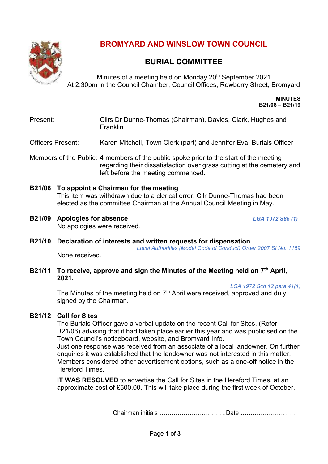

# **BROMYARD AND WINSLOW TOWN COUNCIL**

## **BURIAL COMMITTEE**

Minutes of a meeting held on Monday 20<sup>th</sup> September 2021 At 2:30pm in the Council Chamber, Council Offices, Rowberry Street, Bromyard

> **MINUTES B21/08 – B21/19**

## Present: Cllrs Dr Dunne-Thomas (Chairman), Davies, Clark, Hughes and Franklin

Officers Present: Karen Mitchell, Town Clerk (part) and Jennifer Eva, Burials Officer

Members of the Public: 4 members of the public spoke prior to the start of the meeting regarding their dissatisfaction over grass cutting at the cemetery and left before the meeting commenced.

- **B21/08 To appoint a Chairman for the meeting** This item was withdrawn due to a clerical error. Cllr Dunne-Thomas had been elected as the committee Chairman at the Annual Council Meeting in May.
- **B21/09 Apologies for absence** *LGA 1972 S85 (1)* No apologies were received.

**B21/10 Declaration of interests and written requests for dispensation**

*Local Authorities (Model Code of Conduct) Order 2007 SI No. 1159* None received.

**B21/11 To receive, approve and sign the Minutes of the Meeting held on 7 th April, 2021.** 

*LGA 1972 Sch 12 para 41(1)*

The Minutes of the meeting held on  $7<sup>th</sup>$  April were received, approved and duly signed by the Chairman.

## **B21/12 Call for Sites**

The Burials Officer gave a verbal update on the recent Call for Sites. (Refer B21/06) advising that it had taken place earlier this year and was publicised on the Town Council's noticeboard, website, and Bromyard Info.

Just one response was received from an associate of a local landowner. On further enquiries it was established that the landowner was not interested in this matter. Members considered other advertisement options, such as a one-off notice in the Hereford Times.

**IT WAS RESOLVED** to advertise the Call for Sites in the Hereford Times, at an approximate cost of £500.00. This will take place during the first week of October.

Chairman initials ……………………………Date ……………………….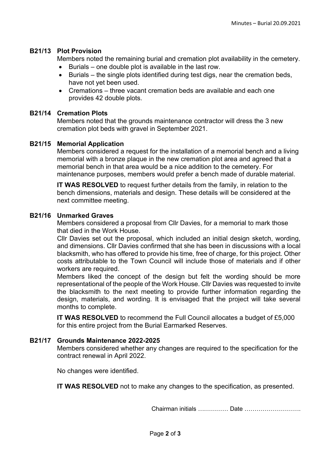### **B21/13 Plot Provision**

Members noted the remaining burial and cremation plot availability in the cemetery.

- Burials one double plot is available in the last row.
- Burials the single plots identified during test digs, near the cremation beds, have not yet been used.
- Cremations three vacant cremation beds are available and each one provides 42 double plots.

## **B21/14 Cremation Plots**

Members noted that the grounds maintenance contractor will dress the 3 new cremation plot beds with gravel in September 2021.

## **B21/15 Memorial Application**

Members considered a request for the installation of a memorial bench and a living memorial with a bronze plaque in the new cremation plot area and agreed that a memorial bench in that area would be a nice addition to the cemetery. For maintenance purposes, members would prefer a bench made of durable material.

**IT WAS RESOLVED** to request further details from the family, in relation to the bench dimensions, materials and design. These details will be considered at the next committee meeting.

#### **B21/16 Unmarked Graves**

Members considered a proposal from Cllr Davies, for a memorial to mark those that died in the Work House.

Cllr Davies set out the proposal, which included an initial design sketch, wording, and dimensions. Cllr Davies confirmed that she has been in discussions with a local blacksmith, who has offered to provide his time, free of charge, for this project. Other costs attributable to the Town Council will include those of materials and if other workers are required.

Members liked the concept of the design but felt the wording should be more representational of the people of the Work House. Cllr Davies was requested to invite the blacksmith to the next meeting to provide further information regarding the design, materials, and wording. It is envisaged that the project will take several months to complete.

**IT WAS RESOLVED** to recommend the Full Council allocates a budget of £5,000 for this entire project from the Burial Earmarked Reserves.

#### **B21/17 Grounds Maintenance 2022-2025**

Members considered whether any changes are required to the specification for the contract renewal in April 2022.

No changes were identified.

**IT WAS RESOLVED** not to make any changes to the specification, as presented.

Chairman initials …………… Date ……………………….